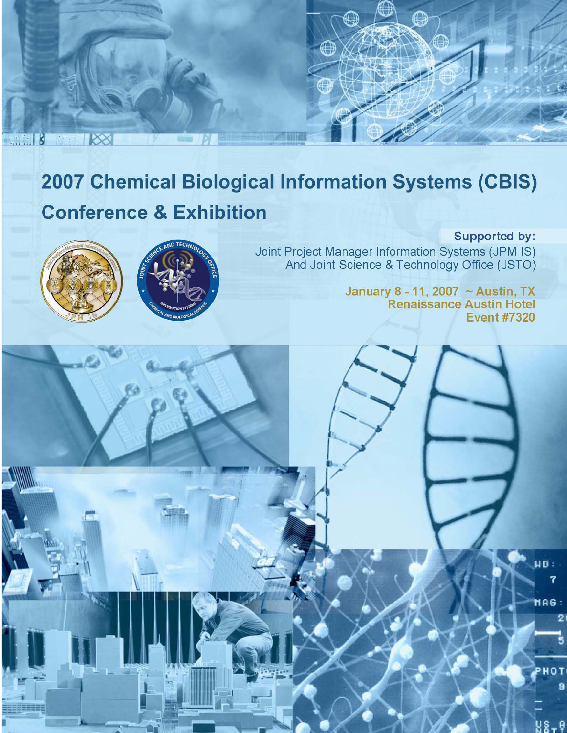# 2007 Chemical Biological Information Systems (CBIS) **Conference & Exhibition**



 $R8$ 

**Samuel B** 



Supported by: Joint Project Manager Information Systems (JPM IS) And Joint Science & Technology Office (JSTO)

 $\mathbb{O}$ 

January 8 - 11, 2007 ~ Austin, TX **Renaissance Austin Hotel Event #7320** 

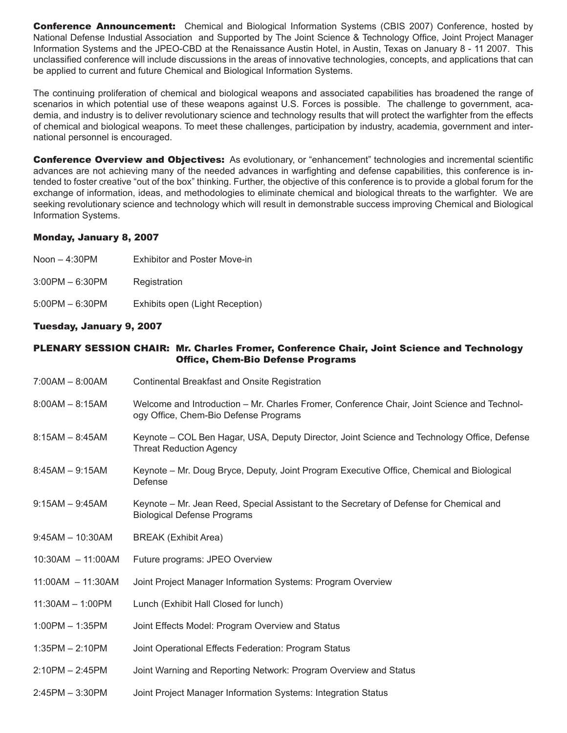**Conference Announcement:** Chemical and Biological Information Systems (CBIS 2007) Conference, hosted by National Defense Industial Association and Supported by The Joint Science & Technology Office, Joint Project Manager Information Systems and the JPEO-CBD at the Renaissance Austin Hotel, in Austin, Texas on January 8 - 11 2007. This unclassified conference will include discussions in the areas of innovative technologies, concepts, and applications that can be applied to current and future Chemical and Biological Information Systems.

The continuing proliferation of chemical and biological weapons and associated capabilities has broadened the range of scenarios in which potential use of these weapons against U.S. Forces is possible. The challenge to government, academia, and industry is to deliver revolutionary science and technology results that will protect the warfighter from the effects of chemical and biological weapons. To meet these challenges, participation by industry, academia, government and international personnel is encouraged.

**Conference Overview and Objectives:** As evolutionary, or "enhancement" technologies and incremental scientific advances are not achieving many of the needed advances in warfighting and defense capabilities, this conference is intended to foster creative "out of the box" thinking. Further, the objective of this conference is to provide a global forum for the exchange of information, ideas, and methodologies to eliminate chemical and biological threats to the warfighter. We are seeking revolutionary science and technology which will result in demonstrable success improving Chemical and Biological Information Systems.

# Monday, January 8, 2007

- Noon 4:30PM Exhibitor and Poster Move-in
- 3:00PM 6:30PM Registration
- 5:00PM 6:30PM Exhibits open (Light Reception)

# Tuesday, January 9, 2007

## PLENARY SESSION CHAIR: Mr. Charles Fromer, Conference Chair, Joint Science and Technology Office, Chem-Bio Defense Programs

- 7:00AM 8:00AM Continental Breakfast and Onsite Registration
- 8:00AM 8:15AM Welcome and Introduction Mr. Charles Fromer, Conference Chair, Joint Science and Technology Office, Chem-Bio Defense Programs
- 8:15AM 8:45AM Keynote COL Ben Hagar, USA, Deputy Director, Joint Science and Technology Office, Defense Threat Reduction Agency
- 8:45AM 9:15AM Keynote Mr. Doug Bryce, Deputy, Joint Program Executive Office, Chemical and Biological Defense
- 9:15AM 9:45AM Keynote Mr. Jean Reed, Special Assistant to the Secretary of Defense for Chemical and Biological Defense Programs
- 9:45AM 10:30AM BREAK (Exhibit Area)
- 10:30AM 11:00AM Future programs: JPEO Overview
- 11:00AM 11:30AM Joint Project Manager Information Systems: Program Overview
- 11:30AM 1:00PM Lunch (Exhibit Hall Closed for lunch)
- 1:00PM 1:35PM Joint Effects Model: Program Overview and Status
- 1:35PM 2:10PM Joint Operational Effects Federation: Program Status
- 2:10PM 2:45PM Joint Warning and Reporting Network: Program Overview and Status
- 2:45PM 3:30PM Joint Project Manager Information Systems: Integration Status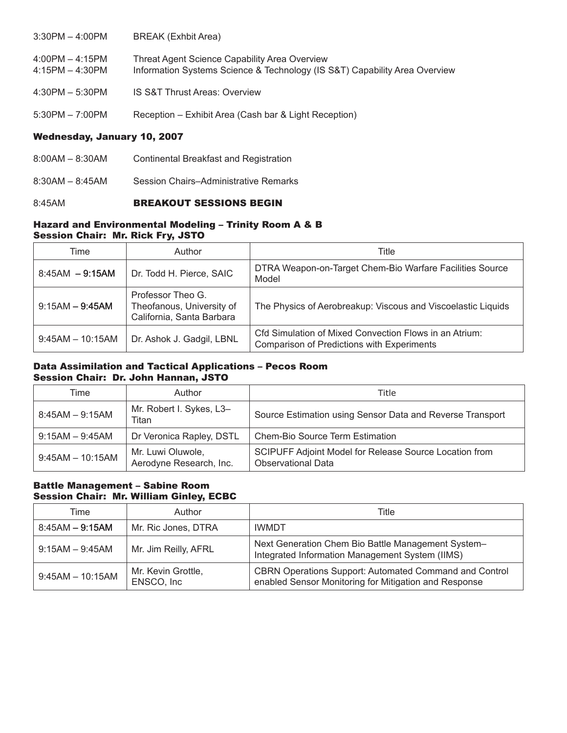| $3:30PM - 4:00PM$                      | BREAK (Exhbit Area)                                                                                                         |
|----------------------------------------|-----------------------------------------------------------------------------------------------------------------------------|
| $4:00PM - 4:15PM$<br>$4:15PM - 4:30PM$ | Threat Agent Science Capability Area Overview<br>Information Systems Science & Technology (IS S&T) Capability Area Overview |
| $4:30PM - 5:30PM$                      | <b>IS S&amp;T Thrust Areas: Overview</b>                                                                                    |
| $5:30PM - 7:00PM$                      | Reception - Exhibit Area (Cash bar & Light Reception)                                                                       |

## Wednesday, January 10, 2007

- 8:00AM 8:30AM Continental Breakfast and Registration
- 8:30AM 8:45AM Session Chairs–Administrative Remarks

## 8:45AM **BREAKOUT SESSIONS BEGIN**

## Hazard and Environmental Modeling – Trinity Room A & B Session Chair: Mr. Rick Fry, JSTO

| Time               | Author                                                                      | Title                                                                                                       |
|--------------------|-----------------------------------------------------------------------------|-------------------------------------------------------------------------------------------------------------|
| $8:45AM - 9:15AM$  | Dr. Todd H. Pierce, SAIC                                                    | DTRA Weapon-on-Target Chem-Bio Warfare Facilities Source<br>Model                                           |
| $9:15AM - 9:45AM$  | Professor Theo G.<br>Theofanous, University of<br>California, Santa Barbara | The Physics of Aerobreakup: Viscous and Viscoelastic Liquids                                                |
| $9:45AM - 10:15AM$ | Dr. Ashok J. Gadgil, LBNL                                                   | Cfd Simulation of Mixed Convection Flows in an Atrium:<br><b>Comparison of Predictions with Experiments</b> |

#### Data Assimilation and Tactical Applications – Pecos Room Session Chair: Dr. John Hannan, JSTO

| Time               | Author                                       | Title                                                                               |
|--------------------|----------------------------------------------|-------------------------------------------------------------------------------------|
| $8:45AM - 9:15AM$  | Mr. Robert I. Sykes, L3-<br>Titan            | Source Estimation using Sensor Data and Reverse Transport                           |
| $9:15AM - 9:45AM$  | Dr Veronica Rapley, DSTL                     | Chem-Bio Source Term Estimation                                                     |
| $9:45AM - 10:15AM$ | Mr. Luwi Oluwole,<br>Aerodyne Research, Inc. | SCIPUFF Adjoint Model for Release Source Location from<br><b>Observational Data</b> |

## Battle Management – Sabine Room Session Chair: Mr. William Ginley, ECBC

| Time               | Author                           | Title                                                                                                                  |
|--------------------|----------------------------------|------------------------------------------------------------------------------------------------------------------------|
| $8:45AM - 9:15AM$  | Mr. Ric Jones, DTRA              | <b>IWMDT</b>                                                                                                           |
| $9:15AM - 9:45AM$  | Mr. Jim Reilly, AFRL             | Next Generation Chem Bio Battle Management System-<br>Integrated Information Management System (IIMS)                  |
| $9:45AM - 10:15AM$ | Mr. Kevin Grottle,<br>ENSCO, Inc | <b>CBRN Operations Support: Automated Command and Control</b><br>enabled Sensor Monitoring for Mitigation and Response |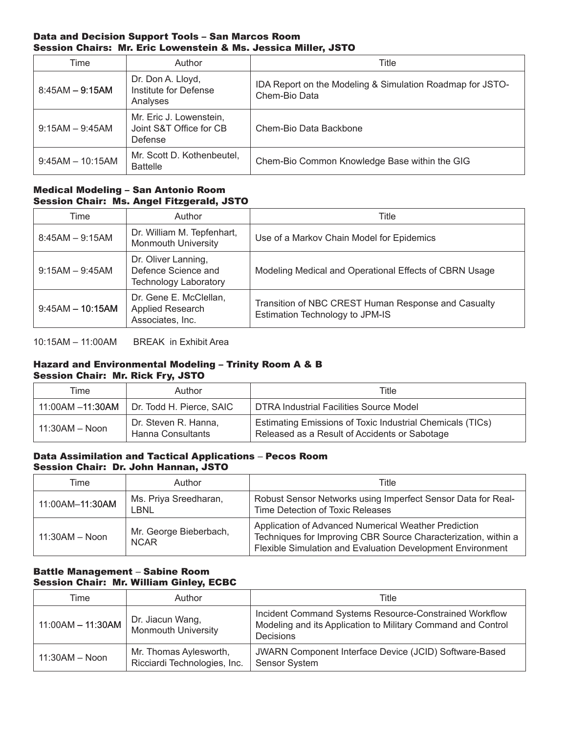#### Data and Decision Support Tools – San Marcos Room Session Chairs: Mr. Eric Lowenstein & Ms. Jessica Miller, JSTO

| Time               | Author                                                        | Title                                                                      |
|--------------------|---------------------------------------------------------------|----------------------------------------------------------------------------|
| $8:45AM - 9:15AM$  | Dr. Don A. Lloyd,<br>Institute for Defense<br>Analyses        | IDA Report on the Modeling & Simulation Roadmap for JSTO-<br>Chem-Bio Data |
| $9:15AM - 9:45AM$  | Mr. Eric J. Lowenstein,<br>Joint S&T Office for CB<br>Defense | Chem-Bio Data Backbone                                                     |
| $9:45AM - 10:15AM$ | Mr. Scott D. Kothenbeutel.<br><b>Battelle</b>                 | Chem-Bio Common Knowledge Base within the GIG                              |

# Medical Modeling – San Antonio Room Session Chair: Ms. Angel Fitzgerald, JSTO

| Time               | Author                                                                     | Title                                                                                  |
|--------------------|----------------------------------------------------------------------------|----------------------------------------------------------------------------------------|
| $8:45AM - 9:15AM$  | Dr. William M. Tepfenhart,<br><b>Monmouth University</b>                   | Use of a Markov Chain Model for Epidemics                                              |
| $9:15AM - 9:45AM$  | Dr. Oliver Lanning,<br>Defence Science and<br><b>Technology Laboratory</b> | Modeling Medical and Operational Effects of CBRN Usage                                 |
| $9:45AM - 10:15AM$ | Dr. Gene E. McClellan,<br>Applied Research<br>Associates, Inc.             | Transition of NBC CREST Human Response and Casualty<br>Estimation Technology to JPM-IS |

10:15AM – 11:00AM BREAK in Exhibit Area

#### Hazard and Environmental Modeling – Trinity Room A & B Session Chair: Mr. Rick Fry, JSTO

| Time             | Author                                    | Title                                                                                                      |  |
|------------------|-------------------------------------------|------------------------------------------------------------------------------------------------------------|--|
| 11:00AM -11:30AM | Dr. Todd H. Pierce, SAIC                  | DTRA Industrial Facilities Source Model                                                                    |  |
| $11:30AM - Noon$ | Dr. Steven R. Hanna,<br>Hanna Consultants | Estimating Emissions of Toxic Industrial Chemicals (TICs)<br>Released as a Result of Accidents or Sabotage |  |

## Data Assimilation and Tactical Applications – Pecos Room Session Chair: Dr. John Hannan, JSTO

| Time             | Author                                | Title                                                                                                                                                                                |
|------------------|---------------------------------------|--------------------------------------------------------------------------------------------------------------------------------------------------------------------------------------|
| 11:00AM-11:30AM  | Ms. Priya Sreedharan,<br>LBNI.        | Robust Sensor Networks using Imperfect Sensor Data for Real-<br>Time Detection of Toxic Releases                                                                                     |
| $11:30AM - Noon$ | Mr. George Bieberbach,<br><b>NCAR</b> | Application of Advanced Numerical Weather Prediction<br>Techniques for Improving CBR Source Characterization, within a<br>Flexible Simulation and Evaluation Development Environment |

# Battle Management – Sabine Room Session Chair: Mr. William Ginley, ECBC

| Time                | Author                                                 | Title                                                                                                                               |
|---------------------|--------------------------------------------------------|-------------------------------------------------------------------------------------------------------------------------------------|
| $11:00AM - 11:30AM$ | Dr. Jiacun Wang,<br><b>Monmouth University</b>         | Incident Command Systems Resource-Constrained Workflow<br>Modeling and its Application to Military Command and Control<br>Decisions |
| $11:30AM - Noon$    | Mr. Thomas Aylesworth,<br>Ricciardi Technologies, Inc. | JWARN Component Interface Device (JCID) Software-Based<br><b>Sensor System</b>                                                      |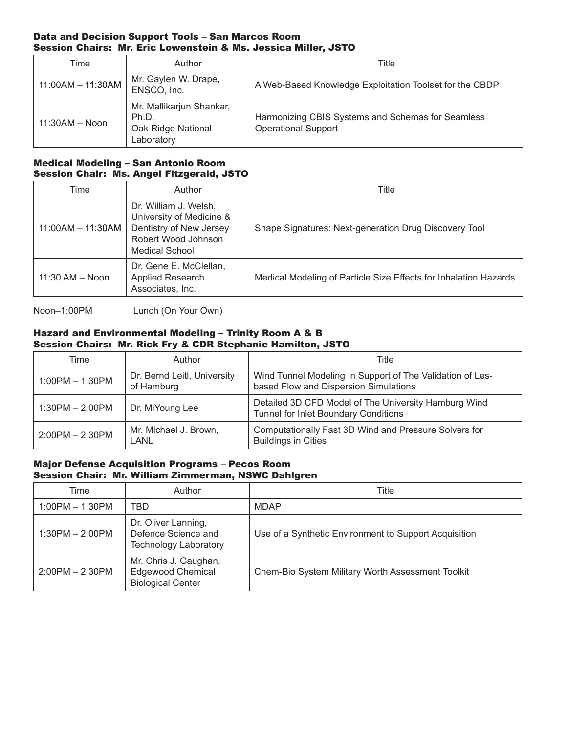## Data and Decision Support Tools – San Marcos Room Session Chairs: Mr. Eric Lowenstein & Ms. Jessica Miller, JSTO

| Time                | Author                                                                | Title                                                                           |
|---------------------|-----------------------------------------------------------------------|---------------------------------------------------------------------------------|
| $11:00AM - 11:30AM$ | Mr. Gaylen W. Drape,<br>ENSCO, Inc.                                   | A Web-Based Knowledge Exploitation Toolset for the CBDP                         |
| $11:30AM - Noon$    | Mr. Mallikarjun Shankar,<br>Ph.D.<br>Oak Ridge National<br>Laboratory | Harmonizing CBIS Systems and Schemas for Seamless<br><b>Operational Support</b> |

# Medical Modeling – San Antonio Room Session Chair: Ms. Angel Fitzgerald, JSTO

| Time                | Author                                                                                                                       | Title                                                            |
|---------------------|------------------------------------------------------------------------------------------------------------------------------|------------------------------------------------------------------|
| $11:00AM - 11:30AM$ | Dr. William J. Welsh,<br>University of Medicine &<br>Dentistry of New Jersey<br>Robert Wood Johnson<br><b>Medical School</b> | Shape Signatures: Next-generation Drug Discovery Tool            |
| $11:30$ AM $-$ Noon | Dr. Gene E. McClellan,<br>Applied Research<br>Associates, Inc.                                                               | Medical Modeling of Particle Size Effects for Inhalation Hazards |

Noon–1:00PM Lunch (On Your Own)

# Hazard and Environmental Modeling – Trinity Room A & B Session Chairs: Mr. Rick Fry & CDR Stephanie Hamilton, JSTO

| Time              | Author                                    | Title                                                                                              |
|-------------------|-------------------------------------------|----------------------------------------------------------------------------------------------------|
| $1:00PM - 1:30PM$ | Dr. Bernd Leitl, University<br>of Hamburg | Wind Tunnel Modeling In Support of The Validation of Les-<br>based Flow and Dispersion Simulations |
| $1:30PM - 2:00PM$ | Dr. MiYoung Lee                           | Detailed 3D CFD Model of The University Hamburg Wind<br>Tunnel for Inlet Boundary Conditions       |
| $2:00PM - 2:30PM$ | Mr. Michael J. Brown,<br>LANL             | Computationally Fast 3D Wind and Pressure Solvers for<br><b>Buildings in Cities</b>                |

## Major Defense Acquisition Programs – Pecos Room Session Chair: Mr. William Zimmerman, NSWC Dahlgren

| Time              | Author                                                                        | Title                                                 |
|-------------------|-------------------------------------------------------------------------------|-------------------------------------------------------|
| $1:00PM - 1:30PM$ | TBD                                                                           | <b>MDAP</b>                                           |
| $1:30PM - 2:00PM$ | Dr. Oliver Lanning,<br>Defence Science and<br><b>Technology Laboratory</b>    | Use of a Synthetic Environment to Support Acquisition |
| $2:00PM - 2:30PM$ | Mr. Chris J. Gaughan,<br><b>Edgewood Chemical</b><br><b>Biological Center</b> | Chem-Bio System Military Worth Assessment Toolkit     |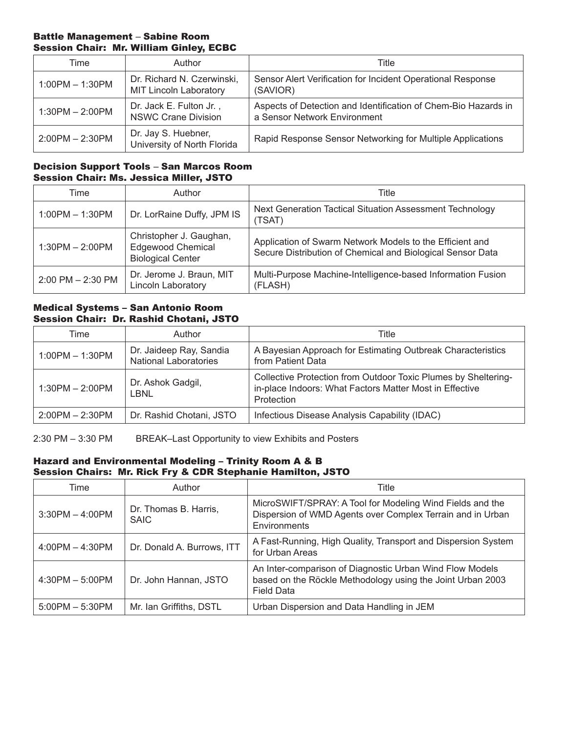## Battle Management – Sabine Room Session Chair: Mr. William Ginley, ECBC

| Time              | Author                                                      | Title                                                                                          |
|-------------------|-------------------------------------------------------------|------------------------------------------------------------------------------------------------|
| $1:00PM - 1:30PM$ | Dr. Richard N. Czerwinski,<br><b>MIT Lincoln Laboratory</b> | Sensor Alert Verification for Incident Operational Response<br>(SAVIOR)                        |
| $1:30PM - 2:00PM$ | Dr. Jack E. Fulton Jr.,<br><b>NSWC Crane Division</b>       | Aspects of Detection and Identification of Chem-Bio Hazards in<br>a Sensor Network Environment |
| $2:00PM - 2:30PM$ | Dr. Jay S. Huebner,<br>University of North Florida          | Rapid Response Sensor Networking for Multiple Applications                                     |

## Decision Support Tools – San Marcos Room Session Chair: Ms. Jessica Miller, JSTO

| Time                  | Author                                                                          | Title                                                                                                                  |
|-----------------------|---------------------------------------------------------------------------------|------------------------------------------------------------------------------------------------------------------------|
| $1:00PM - 1:30PM$     | Dr. LorRaine Duffy, JPM IS                                                      | Next Generation Tactical Situation Assessment Technology<br>(TSAT)                                                     |
| $1:30PM - 2:00PM$     | Christopher J. Gaughan,<br><b>Edgewood Chemical</b><br><b>Biological Center</b> | Application of Swarm Network Models to the Efficient and<br>Secure Distribution of Chemical and Biological Sensor Data |
| $2:00$ PM $- 2:30$ PM | Dr. Jerome J. Braun, MIT<br><b>Lincoln Laboratory</b>                           | Multi-Purpose Machine-Intelligence-based Information Fusion<br>(FLASH)                                                 |

## Medical Systems – San Antonio Room Session Chair: Dr. Rashid Chotani, JSTO

| Time              | Author                                                  | Title                                                                                                                                   |
|-------------------|---------------------------------------------------------|-----------------------------------------------------------------------------------------------------------------------------------------|
| $1:00PM - 1:30PM$ | Dr. Jaideep Ray, Sandia<br><b>National Laboratories</b> | A Bayesian Approach for Estimating Outbreak Characteristics<br>from Patient Data                                                        |
| $1:30PM - 2:00PM$ | Dr. Ashok Gadgil,<br>LBNL                               | Collective Protection from Outdoor Toxic Plumes by Sheltering-<br>in-place Indoors: What Factors Matter Most in Effective<br>Protection |
| $2:00PM - 2:30PM$ | Dr. Rashid Chotani, JSTO                                | Infectious Disease Analysis Capability (IDAC)                                                                                           |

2:30 PM – 3:30 PM BREAK–Last Opportunity to view Exhibits and Posters

## Hazard and Environmental Modeling – Trinity Room A & B Session Chairs: Mr. Rick Fry & CDR Stephanie Hamilton, JSTO

| Time              | Author                               | Title                                                                                                                                       |
|-------------------|--------------------------------------|---------------------------------------------------------------------------------------------------------------------------------------------|
| $3:30PM - 4:00PM$ | Dr. Thomas B. Harris,<br><b>SAIC</b> | MicroSWIFT/SPRAY: A Tool for Modeling Wind Fields and the<br>Dispersion of WMD Agents over Complex Terrain and in Urban<br>Environments     |
| $4:00PM - 4:30PM$ | Dr. Donald A. Burrows, ITT           | A Fast-Running, High Quality, Transport and Dispersion System<br>for Urban Areas                                                            |
| $4:30PM - 5:00PM$ | Dr. John Hannan, JSTO                | An Inter-comparison of Diagnostic Urban Wind Flow Models<br>based on the Röckle Methodology using the Joint Urban 2003<br><b>Field Data</b> |
| $5:00PM - 5:30PM$ | Mr. Ian Griffiths, DSTL              | Urban Dispersion and Data Handling in JEM                                                                                                   |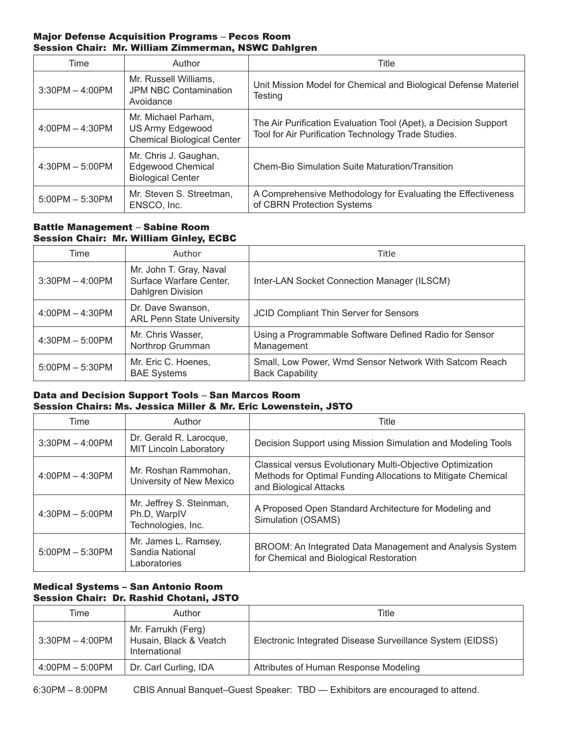## Major Defense Acquisition Programs – Pecos Room Session Chair: Mr. William Zimmerman, NSWC Dahlgren

| Time              | Author                                                                        | Title                                                                                                                  |
|-------------------|-------------------------------------------------------------------------------|------------------------------------------------------------------------------------------------------------------------|
| $3:30PM - 4:00PM$ | Mr. Russell Williams,<br><b>JPM NBC Contamination</b><br>Avoidance            | Unit Mission Model for Chemical and Biological Defense Materiel<br>Testing                                             |
| $4:00PM - 4:30PM$ | Mr. Michael Parham.<br>US Army Edgewood<br><b>Chemical Biological Center</b>  | The Air Purification Evaluation Tool (Apet), a Decision Support<br>Tool for Air Purification Technology Trade Studies. |
| $4:30PM - 5:00PM$ | Mr. Chris J. Gaughan,<br><b>Edgewood Chemical</b><br><b>Biological Center</b> | <b>Chem-Bio Simulation Suite Maturation/Transition</b>                                                                 |
| $5:00PM - 5:30PM$ | Mr. Steven S. Streetman,<br>ENSCO, Inc.                                       | A Comprehensive Methodology for Evaluating the Effectiveness<br>of CBRN Protection Systems                             |

# Battle Management – Sabine Room Session Chair: Mr. William Ginley, ECBC

| Time              | Author                                                                  | Title                                                                            |
|-------------------|-------------------------------------------------------------------------|----------------------------------------------------------------------------------|
| $3:30PM - 4:00PM$ | Mr. John T. Gray, Naval<br>Surface Warfare Center,<br>Dahlgren Division | Inter-LAN Socket Connection Manager (ILSCM)                                      |
| $4:00PM - 4:30PM$ | Dr. Dave Swanson,<br><b>ARL Penn State University</b>                   | JCID Compliant Thin Server for Sensors                                           |
| $4:30PM - 5:00PM$ | Mr. Chris Wasser,<br>Northrop Grumman                                   | Using a Programmable Software Defined Radio for Sensor<br>Management             |
| $5:00PM - 5:30PM$ | Mr. Eric C. Hoenes,<br><b>BAE Systems</b>                               | Small, Low Power, Wmd Sensor Network With Satcom Reach<br><b>Back Capability</b> |

# Data and Decision Support Tools – San Marcos Room Session Chairs: Ms. Jessica Miller & Mr. Eric Lowenstein, JSTO

| Time              | Author                                                         | Title                                                                                                                                                |
|-------------------|----------------------------------------------------------------|------------------------------------------------------------------------------------------------------------------------------------------------------|
| $3:30PM - 4:00PM$ | Dr. Gerald R. Larocque,<br><b>MIT Lincoln Laboratory</b>       | Decision Support using Mission Simulation and Modeling Tools                                                                                         |
| $4:00PM - 4:30PM$ | Mr. Roshan Rammohan,<br>University of New Mexico               | Classical versus Evolutionary Multi-Objective Optimization<br>Methods for Optimal Funding Allocations to Mitigate Chemical<br>and Biological Attacks |
| $4:30PM - 5:00PM$ | Mr. Jeffrey S. Steinman,<br>Ph.D, WarpIV<br>Technologies, Inc. | A Proposed Open Standard Architecture for Modeling and<br>Simulation (OSAMS)                                                                         |
| $5:00PM - 5:30PM$ | Mr. James L. Ramsey,<br>Sandia National<br>Laboratories        | BROOM: An Integrated Data Management and Analysis System<br>for Chemical and Biological Restoration                                                  |

# Medical Systems – San Antonio Room Session Chair: Dr. Rashid Chotani, JSTO

| Time              | Author                                                        | Title                                                     |
|-------------------|---------------------------------------------------------------|-----------------------------------------------------------|
| $3:30PM - 4:00PM$ | Mr. Farrukh (Ferg)<br>Husain, Black & Veatch<br>International | Electronic Integrated Disease Surveillance System (EIDSS) |
| $4:00PM - 5:00PM$ | Dr. Carl Curling, IDA                                         | Attributes of Human Response Modeling                     |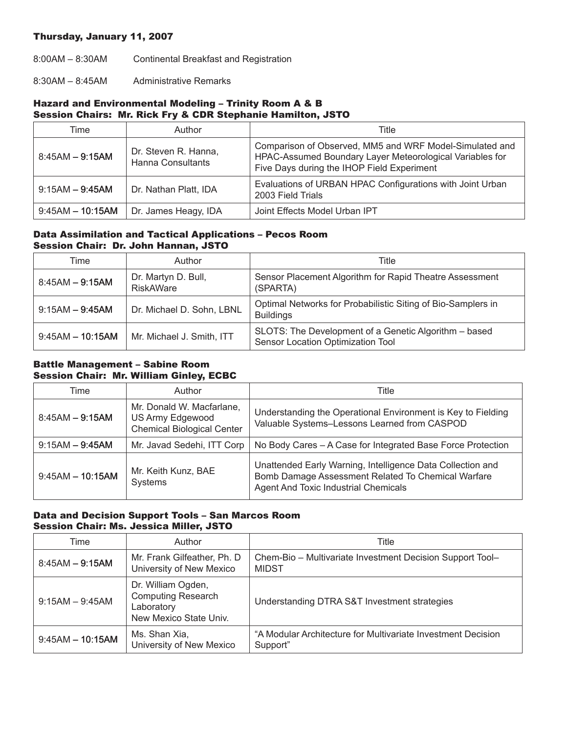## Thursday, January 11, 2007

8:00AM – 8:30AM Continental Breakfast and Registration

8:30AM – 8:45AM Administrative Remarks

# Hazard and Environmental Modeling – Trinity Room A & B Session Chairs: Mr. Rick Fry & CDR Stephanie Hamilton, JSTO

| Time               | Author                                           | Title                                                                                                                                                             |
|--------------------|--------------------------------------------------|-------------------------------------------------------------------------------------------------------------------------------------------------------------------|
| $8:45AM - 9:15AM$  | Dr. Steven R. Hanna,<br><b>Hanna Consultants</b> | Comparison of Observed, MM5 and WRF Model-Simulated and<br>HPAC-Assumed Boundary Layer Meteorological Variables for<br>Five Days during the IHOP Field Experiment |
| $9:15AM - 9:45AM$  | Dr. Nathan Platt, IDA                            | Evaluations of URBAN HPAC Configurations with Joint Urban<br>2003 Field Trials                                                                                    |
| $9:45AM - 10:15AM$ | Dr. James Heagy, IDA                             | Joint Effects Model Urban IPT                                                                                                                                     |

#### Data Assimilation and Tactical Applications – Pecos Room Session Chair: Dr. John Hannan, JSTO

| Time               | Author                                  | Title                                                                                      |
|--------------------|-----------------------------------------|--------------------------------------------------------------------------------------------|
| $8:45AM - 9:15AM$  | Dr. Martyn D. Bull,<br><b>RiskAWare</b> | Sensor Placement Algorithm for Rapid Theatre Assessment<br>(SPARTA)                        |
| $9:15AM - 9:45AM$  | Dr. Michael D. Sohn, LBNL               | Optimal Networks for Probabilistic Siting of Bio-Samplers in<br><b>Buildings</b>           |
| $9:45AM - 10:15AM$ | Mr. Michael J. Smith, ITT               | SLOTS: The Development of a Genetic Algorithm - based<br>Sensor Location Optimization Tool |

## Battle Management – Sabine Room Session Chair: Mr. William Ginley, ECBC

| Time               | Author                                                                             | Title                                                                                                                                                           |
|--------------------|------------------------------------------------------------------------------------|-----------------------------------------------------------------------------------------------------------------------------------------------------------------|
| $8:45AM - 9:15AM$  | Mr. Donald W. Macfarlane,<br>US Army Edgewood<br><b>Chemical Biological Center</b> | Understanding the Operational Environment is Key to Fielding<br>Valuable Systems-Lessons Learned from CASPOD                                                    |
| $9:15AM - 9:45AM$  | Mr. Javad Sedehi, ITT Corp                                                         | No Body Cares - A Case for Integrated Base Force Protection                                                                                                     |
| $9:45AM - 10:15AM$ | Mr. Keith Kunz, BAE<br>Systems                                                     | Unattended Early Warning, Intelligence Data Collection and<br>Bomb Damage Assessment Related To Chemical Warfare<br><b>Agent And Toxic Industrial Chemicals</b> |

## Data and Decision Support Tools – San Marcos Room Session Chair: Ms. Jessica Miller, JSTO

| Time               | Author                                                                                  | Title                                                                     |
|--------------------|-----------------------------------------------------------------------------------------|---------------------------------------------------------------------------|
| $8:45AM - 9:15AM$  | Mr. Frank Gilfeather, Ph. D.<br>University of New Mexico                                | Chem-Bio - Multivariate Investment Decision Support Tool-<br><b>MIDST</b> |
| $9:15AM - 9:45AM$  | Dr. William Ogden,<br><b>Computing Research</b><br>Laboratory<br>New Mexico State Univ. | Understanding DTRA S&T Investment strategies                              |
| $9:45AM - 10:15AM$ | Ms. Shan Xia,<br>University of New Mexico                                               | "A Modular Architecture for Multivariate Investment Decision<br>Support"  |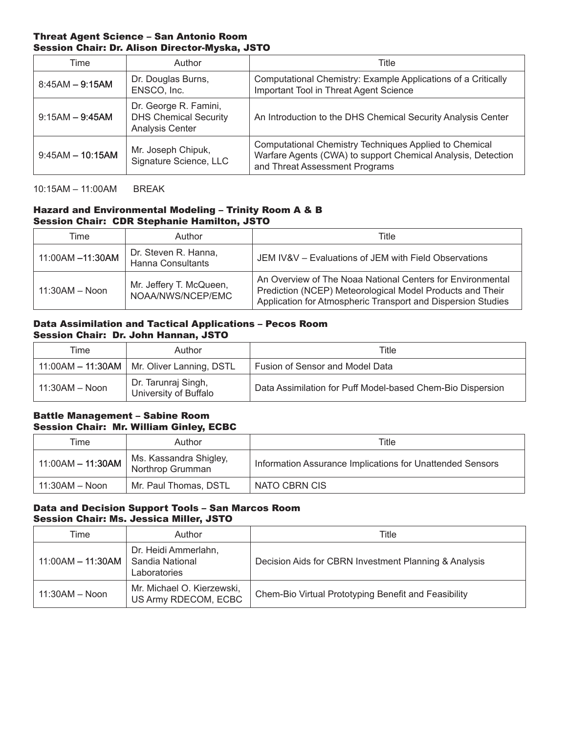#### Threat Agent Science – San Antonio Room Session Chair: Dr. Alison Director-Myska, JSTO

| Time               | Author                                                                   | Title                                                                                                                                                    |
|--------------------|--------------------------------------------------------------------------|----------------------------------------------------------------------------------------------------------------------------------------------------------|
| $8:45AM - 9:15AM$  | Dr. Douglas Burns,<br>ENSCO, Inc.                                        | Computational Chemistry: Example Applications of a Critically<br>Important Tool in Threat Agent Science                                                  |
| $9:15AM - 9:45AM$  | Dr. George R. Famini,<br><b>DHS Chemical Security</b><br>Analysis Center | An Introduction to the DHS Chemical Security Analysis Center                                                                                             |
| $9:45AM - 10:15AM$ | Mr. Joseph Chipuk,<br>Signature Science, LLC                             | Computational Chemistry Techniques Applied to Chemical<br>Warfare Agents (CWA) to support Chemical Analysis, Detection<br>and Threat Assessment Programs |

10:15AM – 11:00AM BREAK

# Hazard and Environmental Modeling – Trinity Room A & B Session Chair: CDR Stephanie Hamilton, JSTO

| Time             | Author                                           | Title                                                                                                                                                                                   |
|------------------|--------------------------------------------------|-----------------------------------------------------------------------------------------------------------------------------------------------------------------------------------------|
| 11:00AM -11:30AM | Dr. Steven R. Hanna,<br><b>Hanna Consultants</b> | JEM IV&V – Evaluations of JEM with Field Observations                                                                                                                                   |
| $11:30AM - Noon$ | Mr. Jeffery T. McQueen,<br>NOAA/NWS/NCEP/EMC     | An Overview of The Noaa National Centers for Environmental<br>Prediction (NCEP) Meteorological Model Products and Their<br>Application for Atmospheric Transport and Dispersion Studies |

## Data Assimilation and Tactical Applications – Pecos Room Session Chair: Dr. John Hannan, JSTO

| Time             | Author                                       | Title                                                      |
|------------------|----------------------------------------------|------------------------------------------------------------|
|                  | 11:00AM - 11:30AM   Mr. Oliver Lanning, DSTL | Fusion of Sensor and Model Data                            |
| $11:30AM - Noon$ | Dr. Tarunraj Singh,<br>University of Buffalo | Data Assimilation for Puff Model-based Chem-Bio Dispersion |

## Battle Management – Sabine Room Session Chair: Mr. William Ginley, ECBC

| Time              | Author                                     | Title                                                     |
|-------------------|--------------------------------------------|-----------------------------------------------------------|
| 11:00AM - 11:30AM | Ms. Kassandra Shigley,<br>Northrop Grumman | Information Assurance Implications for Unattended Sensors |
| $11:30AM - Noon$  | Mr. Paul Thomas, DSTL                      | NATO CBRN CIS                                             |

# Data and Decision Support Tools – San Marcos Room Session Chair: Ms. Jessica Miller, JSTO

| Time                                        | Author                                             | Title                                                 |
|---------------------------------------------|----------------------------------------------------|-------------------------------------------------------|
| 11:00AM $-$ 11:30AM $\vert$ Sandia National | Dr. Heidi Ammerlahn,<br>Laboratories               | Decision Aids for CBRN Investment Planning & Analysis |
| $11:30AM - Noon$                            | Mr. Michael O. Kierzewski,<br>US Army RDECOM, ECBC | Chem-Bio Virtual Prototyping Benefit and Feasibility  |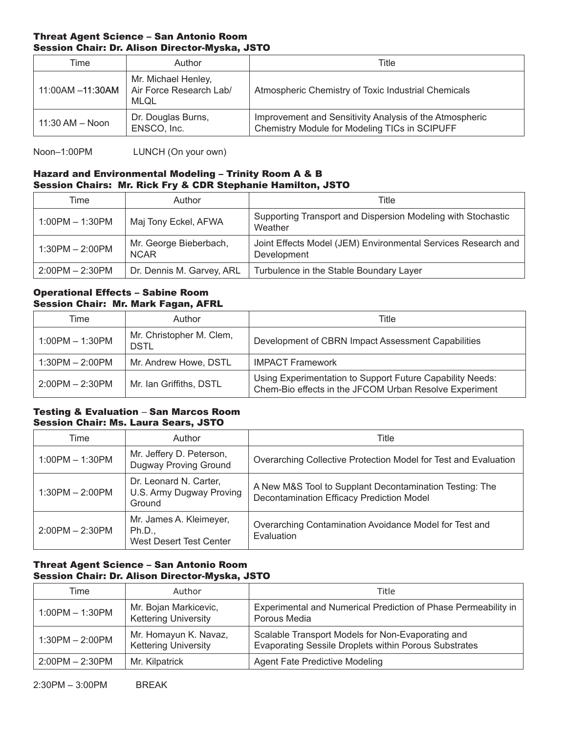## Threat Agent Science – San Antonio Room Session Chair: Dr. Alison Director-Myska, JSTO

| Time                | Author                                                 | Title                                                                                                    |
|---------------------|--------------------------------------------------------|----------------------------------------------------------------------------------------------------------|
| 11:00AM -11:30AM    | Mr. Michael Henley,<br>Air Force Research Lab/<br>MLOL | Atmospheric Chemistry of Toxic Industrial Chemicals                                                      |
| $11:30$ AM $-$ Noon | Dr. Douglas Burns,<br>ENSCO, Inc.                      | Improvement and Sensitivity Analysis of the Atmospheric<br>Chemistry Module for Modeling TICs in SCIPUFF |

Noon–1:00PM LUNCH (On your own)

# Hazard and Environmental Modeling – Trinity Room A & B Session Chairs: Mr. Rick Fry & CDR Stephanie Hamilton, JSTO

| Time              | Author                                | Title                                                                        |
|-------------------|---------------------------------------|------------------------------------------------------------------------------|
| $1:00PM - 1:30PM$ | Maj Tony Eckel, AFWA                  | Supporting Transport and Dispersion Modeling with Stochastic<br>Weather      |
| $1:30PM - 2:00PM$ | Mr. George Bieberbach,<br><b>NCAR</b> | Joint Effects Model (JEM) Environmental Services Research and<br>Development |
| $2:00PM - 2:30PM$ | Dr. Dennis M. Garvey, ARL             | Turbulence in the Stable Boundary Layer                                      |

## Operational Effects – Sabine Room Session Chair: Mr. Mark Fagan, AFRL

| Time              | Author                           | Title                                                                                                               |
|-------------------|----------------------------------|---------------------------------------------------------------------------------------------------------------------|
| $1:00PM - 1:30PM$ | Mr. Christopher M. Clem,<br>DSTL | Development of CBRN Impact Assessment Capabilities                                                                  |
| $1:30PM - 2:00PM$ | Mr. Andrew Howe, DSTL            | <b>IMPACT Framework</b>                                                                                             |
| $2:00PM - 2:30PM$ | Mr. Ian Griffiths, DSTL          | Using Experimentation to Support Future Capability Needs:<br>Chem-Bio effects in the JFCOM Urban Resolve Experiment |

## Testing & Evaluation – San Marcos Room Session Chair: Ms. Laura Sears, JSTO

| Time              | Author                                                              | Title                                                                                                       |
|-------------------|---------------------------------------------------------------------|-------------------------------------------------------------------------------------------------------------|
| $1:00PM - 1:30PM$ | Mr. Jeffery D. Peterson,<br>Dugway Proving Ground                   | Overarching Collective Protection Model for Test and Evaluation                                             |
| $1:30PM - 2:00PM$ | Dr. Leonard N. Carter,<br>U.S. Army Dugway Proving<br>Ground        | A New M&S Tool to Supplant Decontamination Testing: The<br><b>Decontamination Efficacy Prediction Model</b> |
| $2:00PM - 2:30PM$ | Mr. James A. Kleimeyer,<br>Ph.D.,<br><b>West Desert Test Center</b> | Overarching Contamination Avoidance Model for Test and<br>Evaluation                                        |

# Threat Agent Science – San Antonio Room Session Chair: Dr. Alison Director-Myska, JSTO

| Time              | Author                                               | Title                                                                                                      |
|-------------------|------------------------------------------------------|------------------------------------------------------------------------------------------------------------|
| $1:00PM - 1:30PM$ | Mr. Bojan Markicevic,<br><b>Kettering University</b> | Experimental and Numerical Prediction of Phase Permeability in<br>Porous Media                             |
| $1:30PM - 2:00PM$ | Mr. Homayun K. Navaz,<br><b>Kettering University</b> | Scalable Transport Models for Non-Evaporating and<br>Evaporating Sessile Droplets within Porous Substrates |
| $2:00PM - 2:30PM$ | Mr. Kilpatrick                                       | <b>Agent Fate Predictive Modeling</b>                                                                      |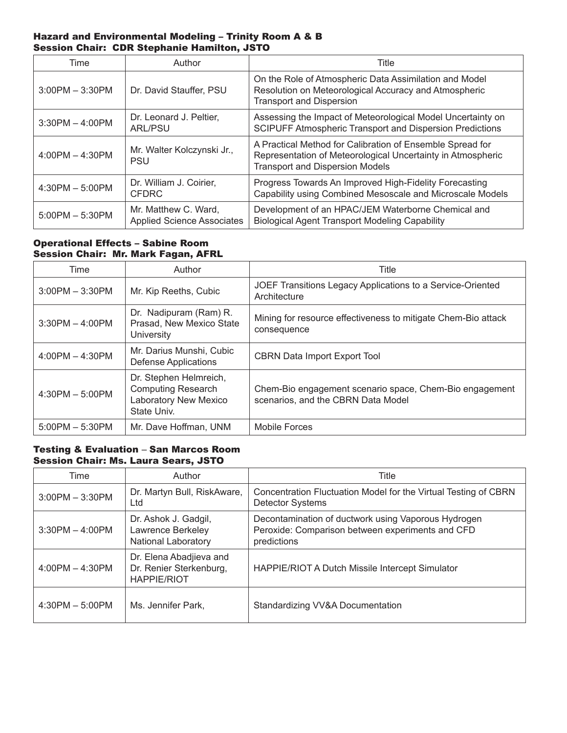## Hazard and Environmental Modeling – Trinity Room A & B Session Chair: CDR Stephanie Hamilton, JSTO

| Time              | Author                                                    | Title                                                                                                                                                              |
|-------------------|-----------------------------------------------------------|--------------------------------------------------------------------------------------------------------------------------------------------------------------------|
| $3:00PM - 3:30PM$ | Dr. David Stauffer, PSU                                   | On the Role of Atmospheric Data Assimilation and Model<br>Resolution on Meteorological Accuracy and Atmospheric<br><b>Transport and Dispersion</b>                 |
| $3:30PM - 4:00PM$ | Dr. Leonard J. Peltier,<br><b>ARL/PSU</b>                 | Assessing the Impact of Meteorological Model Uncertainty on<br>SCIPUFF Atmospheric Transport and Dispersion Predictions                                            |
| $4:00PM - 4:30PM$ | Mr. Walter Kolczynski Jr.,<br><b>PSU</b>                  | A Practical Method for Calibration of Ensemble Spread for<br>Representation of Meteorological Uncertainty in Atmospheric<br><b>Transport and Dispersion Models</b> |
| $4:30PM - 5:00PM$ | Dr. William J. Coirier,<br><b>CFDRC</b>                   | Progress Towards An Improved High-Fidelity Forecasting<br>Capability using Combined Mesoscale and Microscale Models                                                |
| $5:00PM - 5:30PM$ | Mr. Matthew C. Ward,<br><b>Applied Science Associates</b> | Development of an HPAC/JEM Waterborne Chemical and<br><b>Biological Agent Transport Modeling Capability</b>                                                        |

## Operational Effects – Sabine Room Session Chair: Mr. Mark Fagan, AFRL

| Time              | Author                                                                                             | Title                                                                                         |
|-------------------|----------------------------------------------------------------------------------------------------|-----------------------------------------------------------------------------------------------|
| $3:00PM - 3:30PM$ | Mr. Kip Reeths, Cubic                                                                              | JOEF Transitions Legacy Applications to a Service-Oriented<br>Architecture                    |
| $3:30PM - 4:00PM$ | Dr. Nadipuram (Ram) R.<br>Prasad, New Mexico State<br><b>University</b>                            | Mining for resource effectiveness to mitigate Chem-Bio attack<br>consequence                  |
| $4:00PM - 4:30PM$ | Mr. Darius Munshi, Cubic<br><b>Defense Applications</b>                                            | <b>CBRN Data Import Export Tool</b>                                                           |
| $4:30PM - 5:00PM$ | Dr. Stephen Helmreich,<br><b>Computing Research</b><br><b>Laboratory New Mexico</b><br>State Univ. | Chem-Bio engagement scenario space, Chem-Bio engagement<br>scenarios, and the CBRN Data Model |
| $5:00PM - 5:30PM$ | Mr. Dave Hoffman, UNM                                                                              | Mobile Forces                                                                                 |

# Testing & Evaluation – San Marcos Room Session Chair: Ms. Laura Sears, JSTO

| Time              | Author                                                                  | <b>Title</b>                                                                                                           |
|-------------------|-------------------------------------------------------------------------|------------------------------------------------------------------------------------------------------------------------|
| $3:00PM - 3:30PM$ | Dr. Martyn Bull, RiskAware,<br>Ltd                                      | Concentration Fluctuation Model for the Virtual Testing of CBRN<br><b>Detector Systems</b>                             |
| $3:30PM - 4:00PM$ | Dr. Ashok J. Gadgil,<br>Lawrence Berkeley<br><b>National Laboratory</b> | Decontamination of ductwork using Vaporous Hydrogen<br>Peroxide: Comparison between experiments and CFD<br>predictions |
| $4:00PM - 4:30PM$ | Dr. Elena Abadjieva and<br>Dr. Renier Sterkenburg,<br>HAPPIE/RIOT       | HAPPIE/RIOT A Dutch Missile Intercept Simulator                                                                        |
| $4:30PM - 5:00PM$ | Ms. Jennifer Park,                                                      | Standardizing VV&A Documentation                                                                                       |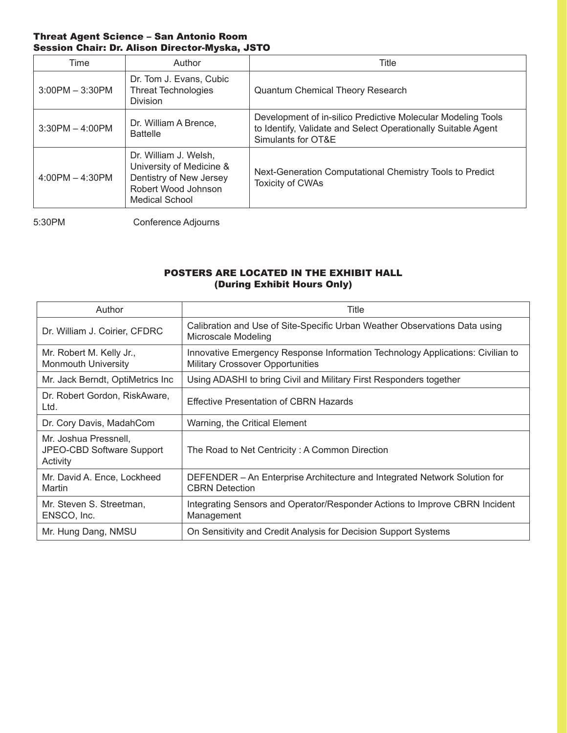## Threat Agent Science – San Antonio Room Session Chair: Dr. Alison Director-Myska, JSTO

| Time              | Author                                                                                                                       | Title                                                                                                                                               |
|-------------------|------------------------------------------------------------------------------------------------------------------------------|-----------------------------------------------------------------------------------------------------------------------------------------------------|
| $3:00PM - 3:30PM$ | Dr. Tom J. Evans, Cubic<br><b>Threat Technologies</b><br><b>Division</b>                                                     | <b>Quantum Chemical Theory Research</b>                                                                                                             |
| $3:30PM - 4:00PM$ | Dr. William A Brence,<br><b>Battelle</b>                                                                                     | Development of in-silico Predictive Molecular Modeling Tools<br>to Identify, Validate and Select Operationally Suitable Agent<br>Simulants for OT&E |
| $4:00PM - 4:30PM$ | Dr. William J. Welsh,<br>University of Medicine &<br>Dentistry of New Jersey<br>Robert Wood Johnson<br><b>Medical School</b> | Next-Generation Computational Chemistry Tools to Predict<br><b>Toxicity of CWAs</b>                                                                 |

5:30PM Conference Adjourns

# POSTERS ARE LOCATED IN THE EXHIBIT HALL (During Exhibit Hours Only)

| Author                                                         | Title                                                                                                                     |  |
|----------------------------------------------------------------|---------------------------------------------------------------------------------------------------------------------------|--|
| Dr. William J. Coirier, CFDRC                                  | Calibration and Use of Site-Specific Urban Weather Observations Data using<br>Microscale Modeling                         |  |
| Mr. Robert M. Kelly Jr.,<br><b>Monmouth University</b>         | Innovative Emergency Response Information Technology Applications: Civilian to<br><b>Military Crossover Opportunities</b> |  |
| Mr. Jack Berndt, OptiMetrics Inc.                              | Using ADASHI to bring Civil and Military First Responders together                                                        |  |
| Dr. Robert Gordon, RiskAware,<br>Ltd.                          | <b>Effective Presentation of CBRN Hazards</b>                                                                             |  |
| Dr. Cory Davis, MadahCom                                       | Warning, the Critical Element                                                                                             |  |
| Mr. Joshua Pressnell,<br>JPEO-CBD Software Support<br>Activity | The Road to Net Centricity: A Common Direction                                                                            |  |
| Mr. David A. Ence, Lockheed<br>Martin                          | DEFENDER - An Enterprise Architecture and Integrated Network Solution for<br><b>CBRN</b> Detection                        |  |
| Mr. Steven S. Streetman,<br>ENSCO, Inc.                        | Integrating Sensors and Operator/Responder Actions to Improve CBRN Incident<br>Management                                 |  |
| Mr. Hung Dang, NMSU                                            | On Sensitivity and Credit Analysis for Decision Support Systems                                                           |  |